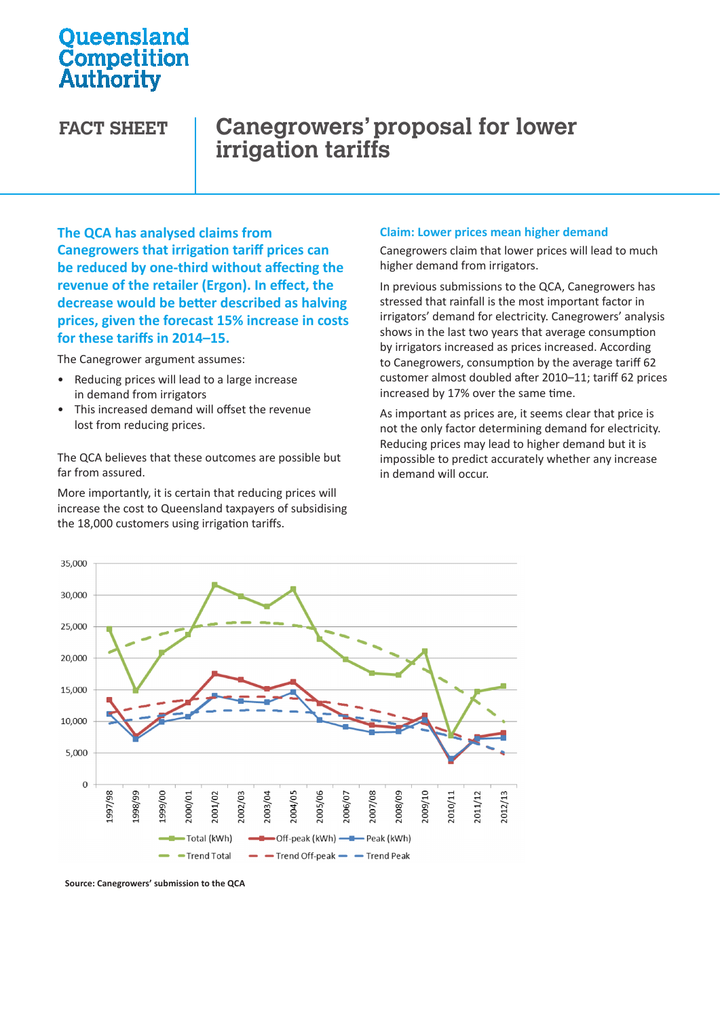## **Oueensland** Competition Authority

# **FACT SHEET Canegrowers' proposal for lower irrigation tariffs**

**The QCA has analysed claims from Canegrowers that irrigation tariff prices can be reduced by one-third without affecting the revenue of the retailer (Ergon). In effect, the decrease would be better described as halving prices, given the forecast 15% increase in costs for these tariffs in 2014–15.** 

The Canegrower argument assumes:

- • Reducing prices will lead to a large increase in demand from irrigators
- This increased demand will offset the revenue lost from reducing prices.

The QCA believes that these outcomes are possible but far from assured.

More importantly, it is certain that reducing prices will increase the cost to Queensland taxpayers of subsidising the 18,000 customers using irrigation tariffs.

#### **Claim: Lower prices mean higher demand**

Canegrowers claim that lower prices will lead to much higher demand from irrigators.

In previous submissions to the QCA, Canegrowers has stressed that rainfall is the most important factor in irrigators' demand for electricity. Canegrowers' analysis shows in the last two years that average consumption by irrigators increased as prices increased. According to Canegrowers, consumption by the average tariff 62 customer almost doubled after 2010–11; tariff 62 prices increased by 17% over the same time.

As important as prices are, it seems clear that price is not the only factor determining demand for electricity. Reducing prices may lead to higher demand but it is impossible to predict accurately whether any increase in demand will occur.



**Source: Canegrowers' submission to the QCA**